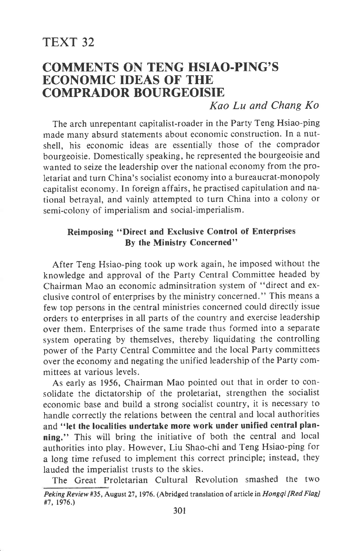# COMMENTS ON TENG HSIAO.PING'S ECONOMIC IDEAS OF THE COMPRADOR BOURGEOISIE

## Kao Lu and Chang Ko

The arch unrepentant capitalist-roader in the Party Teng Hsiao-ping made many absurd statements about economic construction. In a nutshell, his economic ideas are essentially those of the comprador bourgeoisie. Domestically speaking, he represented the bourgeoisie and wanted to seize the leadership over the national economy from the proletariat and turn China's socialist economy into a bureaucrat-monopoly capitalist economy. In foreign affairs, he practised capitulation and national betrayal, and vainly attempted to turn China into a colony or semi-colony of imperialism and social-imperialism.

### Reimposing "Direct and Exclusive Control of Enterprises By the Ministry Concerned"

After Teng Hsiao-ping took up work again, he imposed without the knowledge and approval of the Party Central Committee headed by Chairman Mao an economic adminsitration system of "direct and exclusive control of enterprises by the ministry concerned. " This means <sup>a</sup> few top persons in the central ministries concerned could directly issue orders to enterprises in all parts of the country and exercise leadership over them. Enterprises of the same trade thus formed into a separate system operating by themselves, thereby liquidating the controlling power of the Party Central Committee and the local Party committees over the economy and negating the unified leadership of the Party committees at various levels.

As early as 1956, Chairman Mao pointed out that in order to consolidate the dictatorship of the proletariat, strengthen the socialist economic base and build a strong socialist country, it is necessary to handle correctly the relations between the central and local authorities and "let the localities undertake more work under unified central planning." This will bring the initiative of both the central and local authorities into play. However, Liu Shao-chi and Teng Hsiao-ping for a long time refused to implement this correct principle; instead, they lauded the imperialist trusts to the skies.

The Great Proletarian Cultural Revolution smashed the two Peking Review #35, August 27, 1976. (Abridged translation of article in Hongqi [Red Flag] #7, 1976.)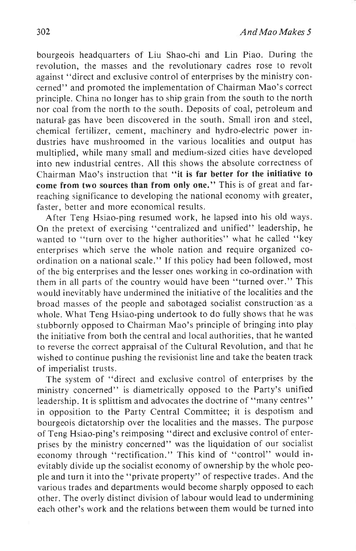bourgeois headquarters of Liu Shao-chi and Lin Piao. During the revolution, the masses and the revolutionary cadres rose to revolt against "direct and exclusive control of enterprises by the ministry concerned" and promoted the implementation of Chairman Mao's correct principle. China no longer has to ship grain from the south to the north nor coal from the north to the south. Deposits of coal, petroleum and natural- gas have been discovered in the south. Small iron and steel, chemical fertilizer, cement, machinery and hydro-electric power industries have mushroomed in the various localities and output has multiplied, while many small and medium-sized cities have developed into new industrial centres. All this shows the absolute correctness of Chairman Mao's instruction that "it is far better for the initiative to come from two sources than from only one." This is of great and farreaching significance to developing the national economy with greater, faster, better and more economical results.

After Teng Hsiao-ping resumed work, he lapsed into his old ways. On the pretext of exercising "centralized and unified" leadership, he wanted to "turn over to the higher authorities" what he called "key enterprises which serve the whole nation and require organized coordination on a national scale." If this policy had been followed, most of the big enterprises and the lesser ones working in co-ordination with them in all parts of the country would have been "turned over." This would inevitably have undermined the initiative of the localities and the broad masses of the people and sabotaged socialist construction'as <sup>a</sup> whole. What Teng Hsiao-ping undertook to do fully shows that he was stubbornly opposed to Chairman Mao's principle of bringing into play the initiative from both the central and local authorities, that he wanted to reverse the correct appraisal of the Cultural Revolution, and that he wished to continue pushing the revisionist line and take the beaten track of imperialist trusts.

The system of "direct and exclusive control of enterprises by the ministry concerned" is diametrically opposed to the Party's unified leadership. It is splittism and advocates the doctrine of "many centres" in opposition to the Party Central Committee; it is despotism and bourgeois dictatorship over the localities and the masses. The purpose of Teng Hsiao-ping's reimposing "direct and exclusive control of enterprises by the ministry concerned" was the liquidation of our socialist economy through "rectification." This kind of "control" would inevitably divide up the socialist economy of ownership by the whole people and turn it into the "private property" of respective trades. And the various trades and departments would become sharply opposed to each other. The overly distinct division of labour would lead to undermining each other's work and the relations between them would be turned into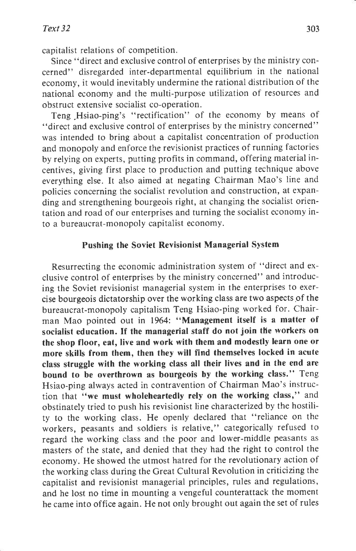capitalist relations of competition.

Since "direct and exclusive control of enterprises by the ministry concerned" disregarded inter-departmental equilibrium in the national economy, it would inevitably undermine the rational distribution of the national economy and the multi-purpose utilization of resources and obstruct extensive socialist co-operation.

Teng Hsiao-ping's "rectification" of the economy by means of "direct and exclusive control of enterprises by the ministry concerned" was intended to bring about a capitalist concentration of production and monopoly and enforce the revisionist practices of running factories by relying on experts, putting profits in command, offering material incentives, giving first place to production and putting technique above everything else. It also aimed at negating Chairman Mao's line and policies concerning the socialist revolution and construction, at expanding and strengthening bourgeois right, at changing the socialist orientation and road of our enterprises and turning the socialist economy into a bureaucrat-monopoly capitalist economy.

#### Pushing the Soviet Revisionist Managerial System

Resurrecting the economic administration system of "direct and exclusive control of enterprises by the ministry concerned" and introducing the Soviet revisionist managerial system in the enterprises to exercise bourgeois dictatorship over the working class are two aspects,of the bureaucrat-monopoly capitalism Teng Hsiao-ping worked for. Chairman Mao pointed out in 1964: "Management itself is a matter of socialist education. If the managerial staff do not join the workers on the shop floor, eat, live and work with them and modestly learn one or more skills from them, then they will find themselves locked in acute class struggle with the working class all their lives and in the end are bound to be overthrown as bourgeois by the working class." Teng Hsiao-ping always acted in contravention of Chairman Mao's instruction that "we must wholeheartedly rely on the working class," and obstinately tried to push his revisionist line characterized by the hostility to the working class. He openly declared that "reliance on the workers, peasants and soldiers is relative," categorically refused to regard the working class and the poor and lower-middle peasants as masters of the state, and denied that they had the right to control the economy. He showed the utmost hatred for the revolutionary action of the working class during the Great cultural Revolution in criticizing the capitalist and revisionist managerial principles, rules and regulations, and he lost no time in mounting a vengeful counterattack the moment he came into office again. He not only brought out again the set of rules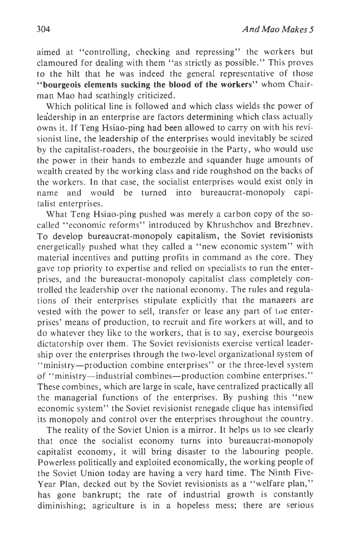aimed at "controlling, checking and repressing" the workers but clamoured for dealing with them "as strictly as possible." This proves to the hilt that he was indeed the general representative of those "bourgeois elements sucking the blood of the workers" whom Chairman Mao had scathingly criticized.

Which political line is followed and which class wields the power of lea'dership in an enterprise are factors determining which class actually owns it. If Teng Hsiao-ping had been allowed to carry on with his revisionist line, the leadership of the enterprises would inevitably be seized by the capitalist-roaders, the bourgeoisie in the Party, who would use the power in their hands to embezzle and squander huge amounts of wealth created by the working class and ride roughshod on the backs of the workers. In that case, the socialist enterprises would exist only in name and would be turned into bureaucrat-monopoly capitalist enterprises.

What Teng Hsiao-ping pushed was merely a carbon copy of the socalled "economic reforms" introduced by Khrushchov and Brezhnev. To develop bureaucrat-monopoly capitalism, the Soviet revisionists energetically pushed what they called a "new economic system" with material incentives and putting profits in command as the core. They gave top priority to expertise and relied on specialists to run the enterprises, and the bureaucrat-monopoly capitalist class completely controlled the leadership over the national economy. The rules and regulations of their enterprises stipulate explicitly that the managers are vested with the power to sell, transfer or lease any part of the enterprises' means of production, to recruit and fire workers at will, and to do whatever they like to the workers, that is to say, exercise bourgeois dictatorship over them. The Soviet revisionists exercise vertical leadership over the enterprises through the two-level organizational system of "ministry-production combine enterprises" or the three-level system of "ministry-industrial combines-production combine enterprises." These combines, which are large in scale, have centralized practically all the managerial functions of the enterprises. By pushing this "new economic system" the Soviet revisionist renegade clique has intensified its monopoly and control over the enterprises throughout the country.

The reality of the Soviet Union is a mirror. It helps us to see clearly that once the socialist economy turns into bureaucrat-monopoly capitalist economy, it will bring disaster to the labouring people. Powerless politically and exploited economically, the working people of the Soviet Union today are having a very hard time. The Ninth Five-Year Plan, decked out by the Soviet revisionists as a "welfare plan," has gone bankrupt; the rate of industrial growth is constantly diminishing; agriculture is in a hopeless mess; there are serious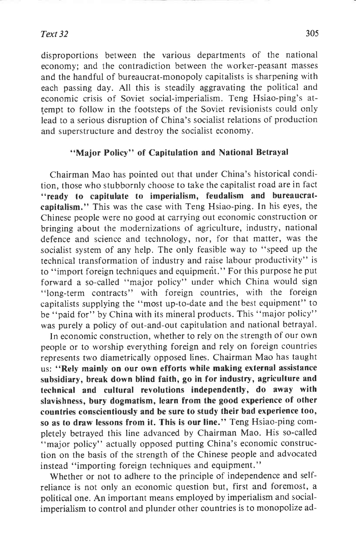#### Text 32

disproportions between the various departments of the national economy; and the contradiction between the worker-peasant masses and the handful of bureaucrat-monopoly capitalists is sharpening with each passing day. All this is steadily aggravating the political and economic crisis of Soviet social-imperialism. Teng Hsiao-ping's attempt to follow in the footsteps of the Soviet revisionists could only lead to a serious disruption of China's socialist relations of production and superstructure and destroy the socialist economy.

#### "Major Policy" of Capitulation and National Betrayal

Chairman Mao has pointed out that under China's historical condition, those who stubbornly choose to take the capitalist road are in fact "ready to capitulate to imperialism, feudalism and bureaucratcapitalism." This was the case with Teng Hsiao-ping. In his eyes, the Chinese people were no good at carrying out economic construction or bringing about the modernizations of agriculture, industry, national defence and science and technology, nor, for that matter, was the socialist system of any help. The only feasible way to "speed up the technical transformation of industry and raise labour productivity" is to "import foreign techniques and equipmeit." For this purpose he put forward a so-called "major policy" under which China would sign "long-term contracts" with foreign countries, with the foreign capitalists supplying the "most up-to-date and the best equipment" to be "paid for" by China with its mineral products. This "major policy" was purely a policy of out-and-out capitulation and national betrayal.

In economic construction, whether to rely on the strength of our own people or to worship everything foreign and rely on foreign countries represents two diametrically opposed lines. Chairman Mao has taught us: "Rely mainly on our own efforts while making external assistance subsidiary, break down blind faith, go in for industry, agriculture and technical and cultural revolutions independently, do away with slavishness, bury dogmatism, learn from the good experience of other countries conscientiously and be sure to study their bad experience too, so as to draw lessons from it. This is our Iine." Teng Hsiao-ping completely betrayed this line advanced by Chairman Mao. His so-called "major policy" actually opposed putting China's economic construction on the basis of the strength of the Chinese people and advocated instead "importing foreign techniques and equipment."

Whether or not to adhere to the principle of independence and selfreliance is not only an economic question but, first and foremost, <sup>a</sup> political one. An important means employed by imperialism and socialimperialism to control and plunder other countries is to monopolize ad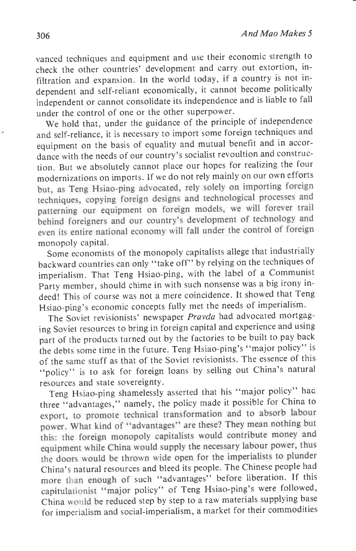vanced techniques and equipment and use their economic strength to check the other countries' development and carry out extortion, infiltration and expansion. In the world today, if a country is not independent and self-reliant economically, it cannot become politically independent or cannot consolidate its independence and is liable to fall under the control of one or the other superpower.

we hold that, under the guidance of the principle of independence and self-reliance, it is necessary to import some foreign techniques and equipment on the basis of equality and mutual benefit and in accordance with the needs of our country's socialist revoultion and construction. But we absolutely cannot place our hopes for realizing the four modernizations on imports. If we do not rely mainly on our own efforts techniques, copying foreign designs and technological processes and patterning our equipment on foreign models, we will forever trail behind foreigners and our country's development of technology and even its entire national economy will fall under the control of foreign monopoly capital.

Some economists of the monopoly capitalists allege that industrially backward countries can only "take off" by relying on the techniques of imperialism. That Teng Hsiao-ping, with the label of a communist Party member, should chime in with such nonsense was a big irony indeed! This of course was not a mere coincidence. It showed that Teng Hsiao-ping's economic concepts fully met the needs of imperialism.

The Soviet revisionists' newspaper Pravda had advocated mortgaging Soviet resources to bring in foreign capital and experience and using part of the products turned out by the factories to be built to pay back the debts some time in the future. Teng Hsiao-ping's "major policy" is of the same stuff as that of the soviet revisionists. The essence of this "policy" is to ask for foreign loans by selling out China's natural resources and state sovereigntY.

Teng Hsiao-ping shamelessly asserted that his "major policy" hao three "advantages," namely, the policy made it possible for China to export, to promote technical transformation and to absorb labour power. What kind of "advantages" are these? They mean nothing but this: the foreign monopoly capitalists would contribute money and equipment while China would supply the necessary labour power, thus the doors would be thrown wide open for the imperialists to plunder China's natural resources and bleed its people. The Chinese people had more than enough of such "advantages" before liberation. If this capitulationist "major policy" of Teng Hsiao-ping's were followed, China would be reduced step by step to a raw materials supplying base for imperialism and social-imperialism, a market for their commodities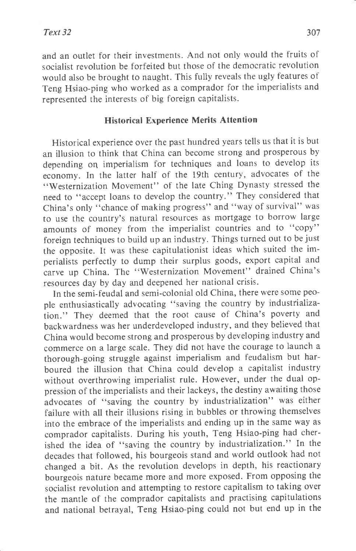and an outlet for their investments. And not only would the fruits of socialist revolution be forfeited but those of the democratic revolution would also be brought to naught. This fully reveals the ugly features of Teng Hsiao-ping who worked as a comprador for the imperialists and represented the interests of big foreign capitalists.

### Historical Experience Merits Attention

Historical experience over the past hundred years tells us that it is but an illusion to think that China can become strong and prosperous by depending on imperialism for techniques and loans to develop its economy. In the latter half of the 19th century, advocates of the "Westernization Movement" of the late Ching Dynasty stressed the need to "accept loans to develop the country." They considered that China's only "chance of making progress" and "way of survival" was to use the country's natural resources as mortgage to borrow large amounts of money from the imperialist countries and to "copy" foreign techniques to build up an industry. Things turned out to be just the opposite. It was these capitulationist ideas which suited the imperialists perfectly to dump their surplus goods, export capital and carve up China. The "Westernization Movement" drained China's resources day by day and deepened her national crisis.

In the semi-feudal and semi-colonial old China, there were some people enthusiastically advocating "saving the country by industrialization." They deemed that the root cause of China's poverty and backwardness was her underdeveloped industry, and they believed that China would become strong and prosperous by developing industry and commerce on a large scale. They did not have the courage to launch <sup>a</sup> thorough-going struggle against imperialism and feudalism but harboured the illusion that China could develop a capitalist industry without overthrowing imperialist rule. However, under the dual oppression of the imperialists and their lackeys, the destiny awaiting those advocates of "saving the country by industrialization" was either failure with all their illusions rising in bubbles or throwing themselves into the embrace of the imperialists and ending up in the same way as comprador capitalists. During his youth, Teng Hsiao-ping had cherished the idea of "saving the country by industrialization." In the decades that followed, his bourgeois stand and world outlook had not changed a bit. As the revolution develops in depth, his reactionary bourgeois nature became more and more exposed. From opposing the socialist revolution and attempting to restore capitalism to taking over the mantle of the comprador capitalists and practising capitulations and national betrayal, Teng Hsiao-ping could not but end up in the